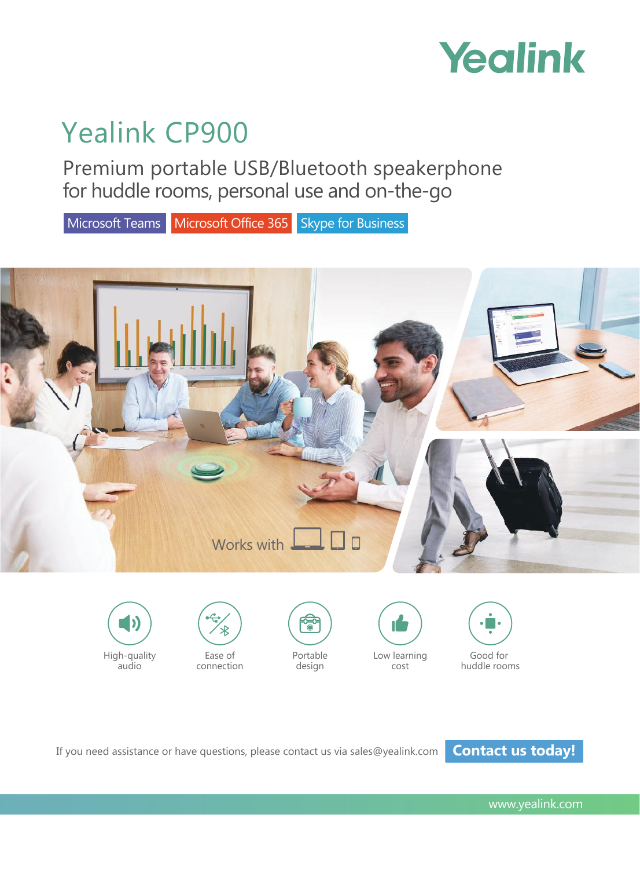

# Yealink CP900

Premium portable USB/Bluetooth speakerphone for huddle rooms, personal use and on-the-go

Microsoft Teams Microsoft Office 365 Skype for Business







audio





design





If you need assistance or have questions, please contact us via sales@yealink.com **Contact us today!** 

www.yealink.com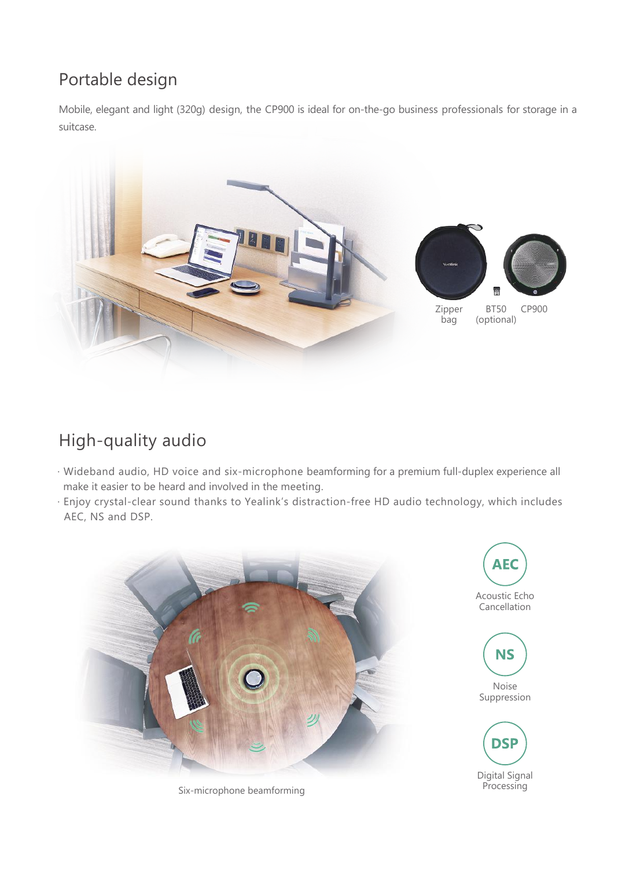## Portable design

Mobile, elegant and light (320g) design, the CP900 is ideal for on-the-go business professionals for storage in a suitcase.



# High-quality audio

- · Wideband audio, HD voice and six-microphone beamforming for a premium full-duplex experience all make it easier to be heard and involved in the meeting.
- · Enjoy crystal-clear sound thanks to Yealink's distraction-free HD audio technology, which includes AEC, NS and DSP.



Six-microphone beamforming

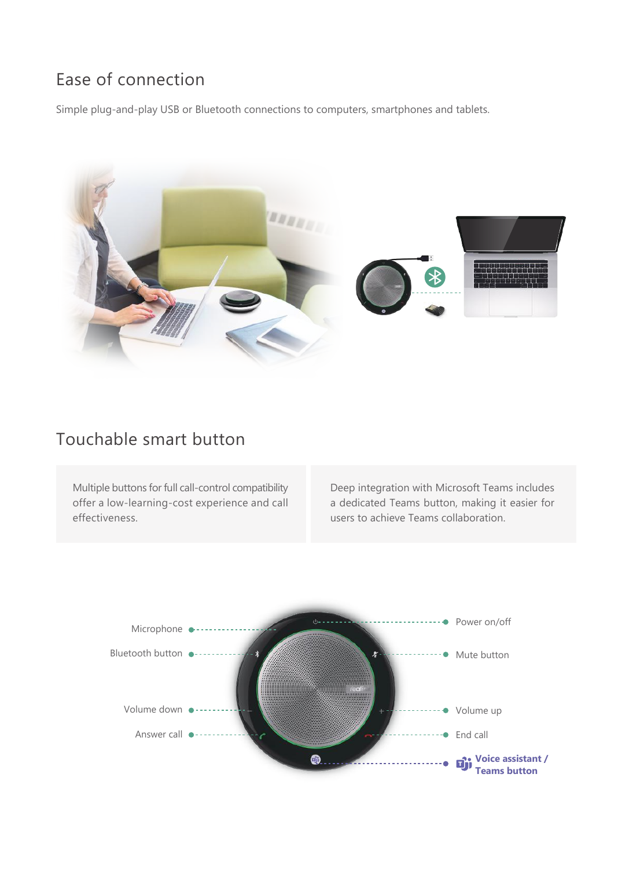### Ease of connection

Simple plug-and-play USB or Bluetooth connections to computers, smartphones and tablets.



### Touchable smart button

Multiple buttons for full call-control compatibility offer a low-learning-cost experience and call effectiveness.

Deep integration with Microsoft Teams includes a dedicated Teams button, making it easier for users to achieve Teams collaboration.